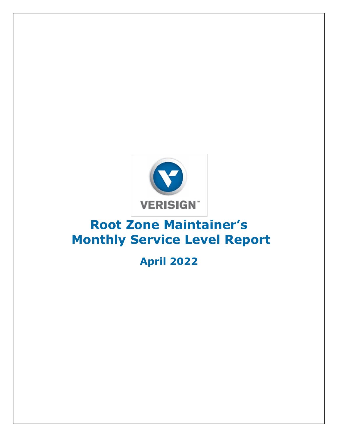

## **Root Zone Maintainer's Monthly Service Level Report**

## **April 2022**